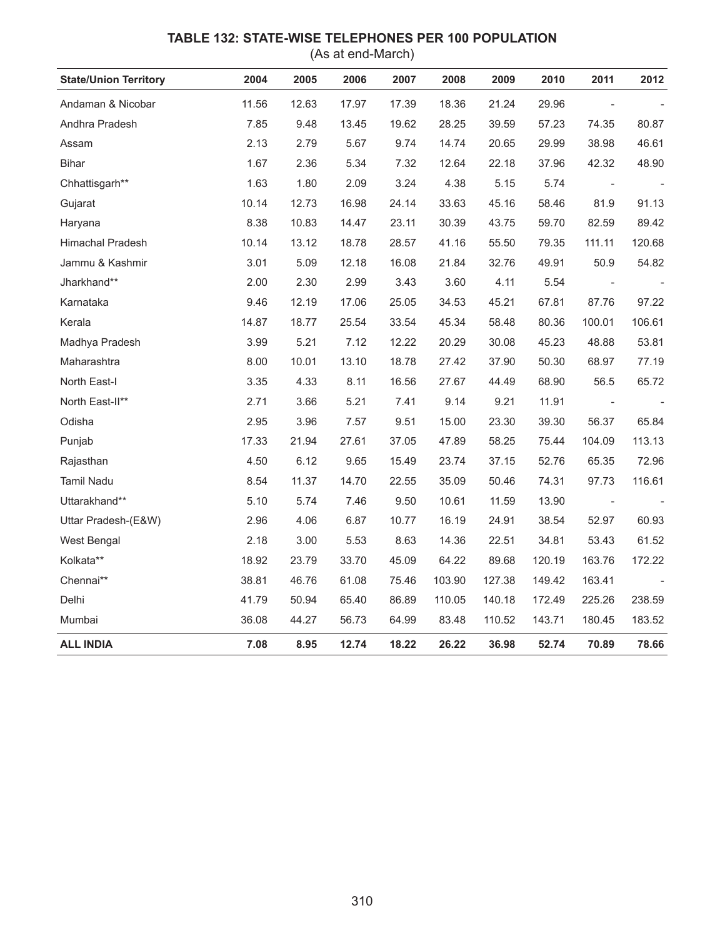## **TABLE 132: STATE-WISE TELEPHONES PER 100 POPULATION**

(As at end-March)

| <b>State/Union Territory</b> | 2004  | 2005  | 2006  | 2007  | 2008   | 2009   | 2010   | 2011                     | 2012   |
|------------------------------|-------|-------|-------|-------|--------|--------|--------|--------------------------|--------|
| Andaman & Nicobar            | 11.56 | 12.63 | 17.97 | 17.39 | 18.36  | 21.24  | 29.96  |                          |        |
| Andhra Pradesh               | 7.85  | 9.48  | 13.45 | 19.62 | 28.25  | 39.59  | 57.23  | 74.35                    | 80.87  |
| Assam                        | 2.13  | 2.79  | 5.67  | 9.74  | 14.74  | 20.65  | 29.99  | 38.98                    | 46.61  |
| Bihar                        | 1.67  | 2.36  | 5.34  | 7.32  | 12.64  | 22.18  | 37.96  | 42.32                    | 48.90  |
| Chhattisgarh**               | 1.63  | 1.80  | 2.09  | 3.24  | 4.38   | 5.15   | 5.74   |                          |        |
| Gujarat                      | 10.14 | 12.73 | 16.98 | 24.14 | 33.63  | 45.16  | 58.46  | 81.9                     | 91.13  |
| Haryana                      | 8.38  | 10.83 | 14.47 | 23.11 | 30.39  | 43.75  | 59.70  | 82.59                    | 89.42  |
| Himachal Pradesh             | 10.14 | 13.12 | 18.78 | 28.57 | 41.16  | 55.50  | 79.35  | 111.11                   | 120.68 |
| Jammu & Kashmir              | 3.01  | 5.09  | 12.18 | 16.08 | 21.84  | 32.76  | 49.91  | 50.9                     | 54.82  |
| Jharkhand**                  | 2.00  | 2.30  | 2.99  | 3.43  | 3.60   | 4.11   | 5.54   |                          |        |
| Karnataka                    | 9.46  | 12.19 | 17.06 | 25.05 | 34.53  | 45.21  | 67.81  | 87.76                    | 97.22  |
| Kerala                       | 14.87 | 18.77 | 25.54 | 33.54 | 45.34  | 58.48  | 80.36  | 100.01                   | 106.61 |
| Madhya Pradesh               | 3.99  | 5.21  | 7.12  | 12.22 | 20.29  | 30.08  | 45.23  | 48.88                    | 53.81  |
| Maharashtra                  | 8.00  | 10.01 | 13.10 | 18.78 | 27.42  | 37.90  | 50.30  | 68.97                    | 77.19  |
| North East-I                 | 3.35  | 4.33  | 8.11  | 16.56 | 27.67  | 44.49  | 68.90  | 56.5                     | 65.72  |
| North East-II**              | 2.71  | 3.66  | 5.21  | 7.41  | 9.14   | 9.21   | 11.91  |                          |        |
| Odisha                       | 2.95  | 3.96  | 7.57  | 9.51  | 15.00  | 23.30  | 39.30  | 56.37                    | 65.84  |
| Punjab                       | 17.33 | 21.94 | 27.61 | 37.05 | 47.89  | 58.25  | 75.44  | 104.09                   | 113.13 |
| Rajasthan                    | 4.50  | 6.12  | 9.65  | 15.49 | 23.74  | 37.15  | 52.76  | 65.35                    | 72.96  |
| Tamil Nadu                   | 8.54  | 11.37 | 14.70 | 22.55 | 35.09  | 50.46  | 74.31  | 97.73                    | 116.61 |
| Uttarakhand**                | 5.10  | 5.74  | 7.46  | 9.50  | 10.61  | 11.59  | 13.90  | $\overline{\phantom{a}}$ |        |
| Uttar Pradesh-(E&W)          | 2.96  | 4.06  | 6.87  | 10.77 | 16.19  | 24.91  | 38.54  | 52.97                    | 60.93  |
| West Bengal                  | 2.18  | 3.00  | 5.53  | 8.63  | 14.36  | 22.51  | 34.81  | 53.43                    | 61.52  |
| Kolkata**                    | 18.92 | 23.79 | 33.70 | 45.09 | 64.22  | 89.68  | 120.19 | 163.76                   | 172.22 |
| Chennai**                    | 38.81 | 46.76 | 61.08 | 75.46 | 103.90 | 127.38 | 149.42 | 163.41                   |        |
| Delhi                        | 41.79 | 50.94 | 65.40 | 86.89 | 110.05 | 140.18 | 172.49 | 225.26                   | 238.59 |
| Mumbai                       | 36.08 | 44.27 | 56.73 | 64.99 | 83.48  | 110.52 | 143.71 | 180.45                   | 183.52 |
| <b>ALL INDIA</b>             | 7.08  | 8.95  | 12.74 | 18.22 | 26.22  | 36.98  | 52.74  | 70.89                    | 78.66  |